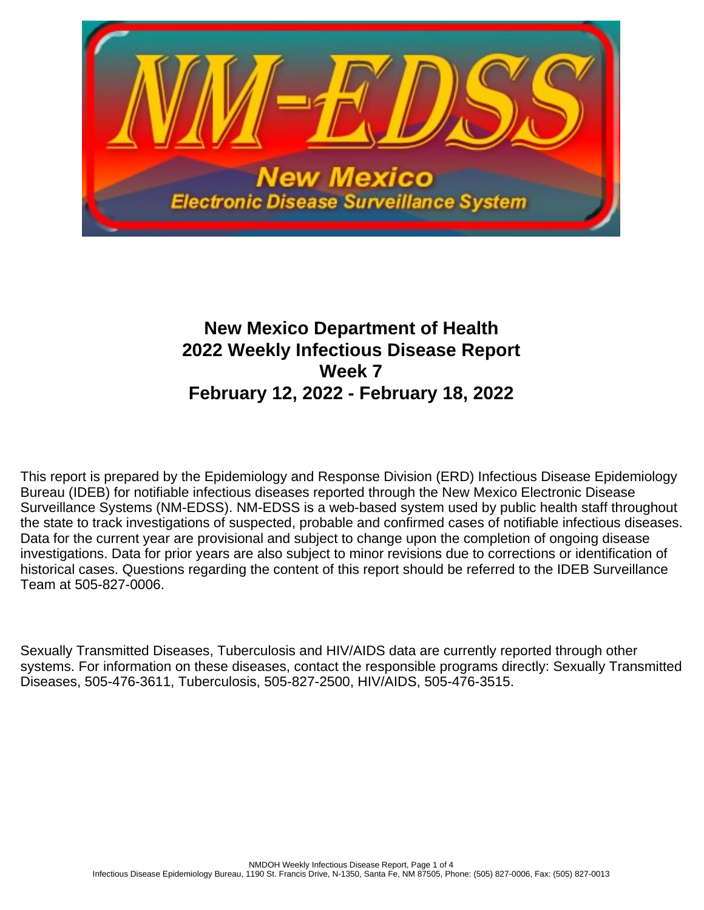

# **New Mexico Department of Health 2022 Weekly Infectious Disease Report Week 7 February 12, 2022 - February 18, 2022**

This report is prepared by the Epidemiology and Response Division (ERD) Infectious Disease Epidemiology Bureau (IDEB) for notifiable infectious diseases reported through the New Mexico Electronic Disease Surveillance Systems (NM-EDSS). NM-EDSS is a web-based system used by public health staff throughout the state to track investigations of suspected, probable and confirmed cases of notifiable infectious diseases. Data for the current year are provisional and subject to change upon the completion of ongoing disease investigations. Data for prior years are also subject to minor revisions due to corrections or identification of historical cases. Questions regarding the content of this report should be referred to the IDEB Surveillance Team at 505-827-0006.

Sexually Transmitted Diseases, Tuberculosis and HIV/AIDS data are currently reported through other systems. For information on these diseases, contact the responsible programs directly: Sexually Transmitted Diseases, 505-476-3611, Tuberculosis, 505-827-2500, HIV/AIDS, 505-476-3515.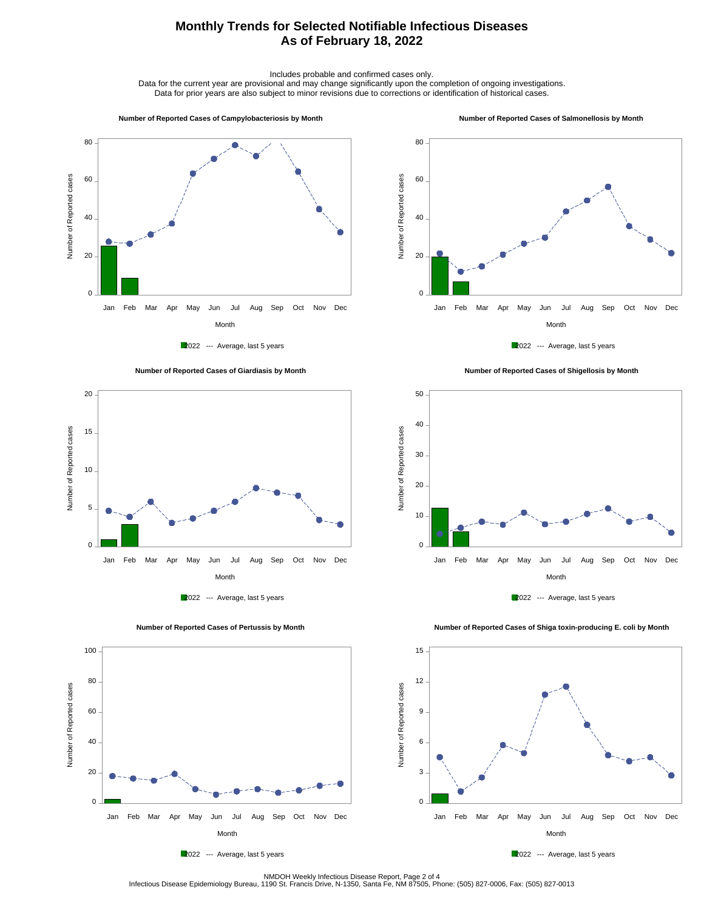## **Monthly Trends for Selected Notifiable Infectious Diseases As of February 18, 2022**

Includes probable and confirmed cases only.

Data for the current year are provisional and may change significantly upon the completion of ongoing investigations. Data for prior years are also subject to minor revisions due to corrections or identification of historical cases.

#### **Number of Reported Cases of Campylobacteriosis by Month**

#### **Number of Reported Cases of Salmonellosis by Month**









 **Number of Reported Cases of Shigellosis by Month**





Number of Reported cases

Number of Reported cases

 $\overline{0}$ .

20

40

60

80

100

2022 --- Average, last 5 years

Month Jan Feb Mar Apr May Jun Jul Aug Sep Oct Nov Dec

 **Number of Reported Cases of Shiga toxin-producing E. coli by Month**



NMDOH Weekly Infectious Disease Report, Page 2 of 4<br>Infectious Disease Epidemiology Bureau, 1190 St. Francis Drive, N-1350, Santa Fe, NM 87505, Phone: (505) 827-0006, Fax: (505) 827-0013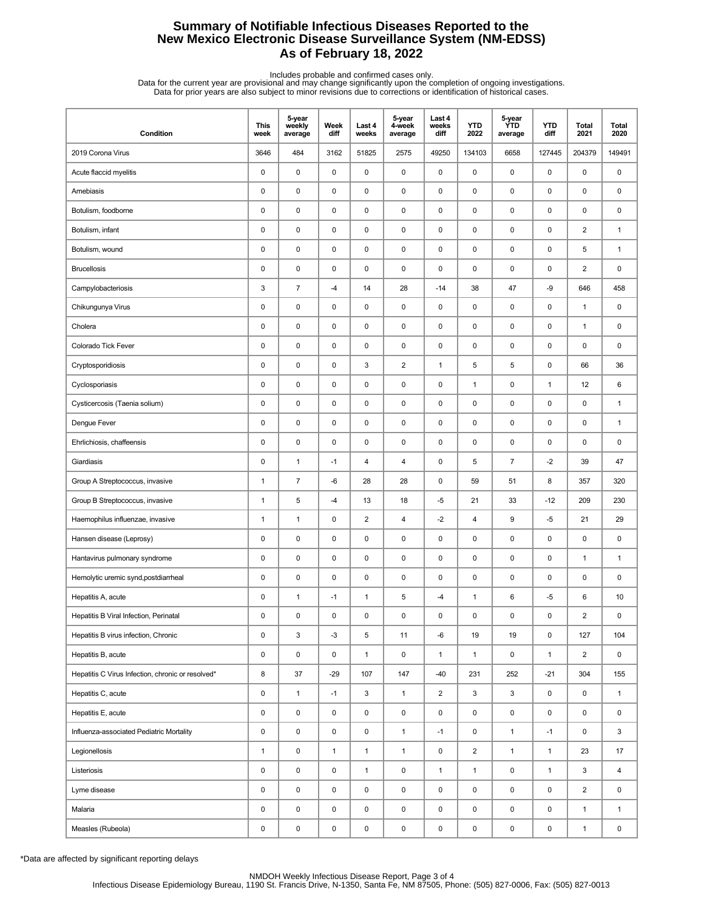## **Summary of Notifiable Infectious Diseases Reported to the New Mexico Electronic Disease Surveillance System (NM-EDSS) As of February 18, 2022**

Includes probable and confirmed cases only.<br>Data for the current year are provisional and may change significantly upon the completion of ongoing investigations.<br>Data for prior years are also subject to minor revisions due

| Condition                                         | <b>This</b><br>week | 5-year<br>weekly<br>average | Week<br>diff | Last 4<br>weeks | 5-year<br>4-week<br>average | Last 4<br>weeks<br>diff | <b>YTD</b><br>2022      | 5-year<br><b>YTD</b><br>average | <b>YTD</b><br>diff | Total<br>2021  | <b>Total</b><br>2020 |
|---------------------------------------------------|---------------------|-----------------------------|--------------|-----------------|-----------------------------|-------------------------|-------------------------|---------------------------------|--------------------|----------------|----------------------|
| 2019 Corona Virus                                 | 3646                | 484                         | 3162         | 51825           | 2575                        | 49250                   | 134103                  | 6658                            | 127445             | 204379         | 149491               |
| Acute flaccid myelitis                            | 0                   | $\mathsf 0$                 | 0            | 0               | $\pmb{0}$                   | $\mathsf 0$             | $\pmb{0}$               | 0                               | $\mathsf 0$        | 0              | 0                    |
| Amebiasis                                         | 0                   | 0                           | 0            | 0               | 0                           | $\pmb{0}$               | 0                       | 0                               | $\pmb{0}$          | 0              | 0                    |
| Botulism, foodborne                               | 0                   | 0                           | 0            | 0               | 0                           | $\mathbf 0$             | $\pmb{0}$               | 0                               | $\mathbf 0$        | 0              | 0                    |
| Botulism, infant                                  | 0                   | 0                           | 0            | 0               | 0                           | 0                       | $\pmb{0}$               | 0                               | $\pmb{0}$          | $\overline{2}$ | $\mathbf{1}$         |
| Botulism, wound                                   | 0                   | 0                           | 0            | 0               | 0                           | $\mathbf 0$             | $\pmb{0}$               | 0                               | $\pmb{0}$          | 5              | $\mathbf{1}$         |
| <b>Brucellosis</b>                                | $\pmb{0}$           | $\pmb{0}$                   | 0            | 0               | $\pmb{0}$                   | $\pmb{0}$               | $\pmb{0}$               | 0                               | $\pmb{0}$          | $\overline{2}$ | 0                    |
| Campylobacteriosis                                | 3                   | $\overline{7}$              | $-4$         | 14              | 28                          | $-14$                   | 38                      | 47                              | -9                 | 646            | 458                  |
| Chikungunya Virus                                 | 0                   | 0                           | 0            | 0               | 0                           | $\mathbf 0$             | $\pmb{0}$               | 0                               | $\mathbf 0$        | $\mathbf{1}$   | 0                    |
| Cholera                                           | 0                   | $\mathsf 0$                 | $\pmb{0}$    | 0               | 0                           | $\pmb{0}$               | $\pmb{0}$               | 0                               | $\pmb{0}$          | $\mathbf{1}$   | 0                    |
| Colorado Tick Fever                               | 0                   | 0                           | 0            | 0               | 0                           | $\mathbf 0$             | $\pmb{0}$               | 0                               | $\mathbf 0$        | 0              | 0                    |
| Cryptosporidiosis                                 | $\pmb{0}$           | $\mathsf 0$                 | 0            | 3               | $\overline{c}$              | $\mathbf{1}$            | $\sqrt{5}$              | 5                               | $\pmb{0}$          | 66             | 36                   |
| Cyclosporiasis                                    | 0                   | 0                           | 0            | 0               | 0                           | $\mathbf 0$             | $\mathbf{1}$            | 0                               | $\mathbf{1}$       | 12             | 6                    |
| Cysticercosis (Taenia solium)                     | $\pmb{0}$           | $\mathsf 0$                 | $\pmb{0}$    | 0               | $\pmb{0}$                   | $\mathbf 0$             | $\pmb{0}$               | 0                               | $\pmb{0}$          | 0              | $\mathbf{1}$         |
| Dengue Fever                                      | 0                   | 0                           | 0            | 0               | 0                           | 0                       | $\pmb{0}$               | 0                               | $\pmb{0}$          | 0              | 1                    |
| Ehrlichiosis, chaffeensis                         | 0                   | 0                           | 0            | 0               | 0                           | $\mathbf 0$             | $\pmb{0}$               | 0                               | $\pmb{0}$          | 0              | 0                    |
| Giardiasis                                        | 0                   | $\mathbf{1}$                | $-1$         | 4               | $\overline{\mathbf{4}}$     | 0                       | 5                       | $\overline{7}$                  | $-2$               | 39             | 47                   |
| Group A Streptococcus, invasive                   | 1                   | $\overline{7}$              | $-6$         | 28              | 28                          | $\pmb{0}$               | 59                      | 51                              | 8                  | 357            | 320                  |
| Group B Streptococcus, invasive                   | 1                   | 5                           | -4           | 13              | 18                          | $-5$                    | 21                      | 33                              | $-12$              | 209            | 230                  |
| Haemophilus influenzae, invasive                  | 1                   | $\mathbf{1}$                | 0            | $\overline{c}$  | $\overline{\mathbf{4}}$     | $-2$                    | $\overline{\mathbf{4}}$ | 9                               | $-5$               | 21             | 29                   |
| Hansen disease (Leprosy)                          | 0                   | 0                           | 0            | 0               | 0                           | $\mathbf 0$             | $\pmb{0}$               | 0                               | $\mathbf 0$        | 0              | 0                    |
| Hantavirus pulmonary syndrome                     | $\pmb{0}$           | $\pmb{0}$                   | 0            | 0               | $\pmb{0}$                   | $\pmb{0}$               | $\pmb{0}$               | 0                               | $\pmb{0}$          | $\mathbf{1}$   | $\mathbf{1}$         |
| Hemolytic uremic synd, postdiarrheal              | 0                   | 0                           | 0            | 0               | 0                           | $\mathbf 0$             | 0                       | 0                               | $\pmb{0}$          | 0              | 0                    |
| Hepatitis A, acute                                | 0                   | $\mathbf{1}$                | $-1$         | $\mathbf{1}$    | $\mathbf 5$                 | -4                      | $\mathbf{1}$            | 6                               | $-5$               | 6              | 10                   |
| Hepatitis B Viral Infection, Perinatal            | 0                   | 0                           | 0            | $\mathbf 0$     | $\pmb{0}$                   | 0                       | $\mathbf 0$             | 0                               | 0                  | $\overline{2}$ | 0                    |
| Hepatitis B virus infection, Chronic              | 0                   | 3                           | $-3$         | 5               | 11                          | -6                      | 19                      | 19                              | $\mathsf{O}$       | 127            | 104                  |
| Hepatitis B, acute                                | 0                   | $\pmb{0}$                   | 0            | $\mathbf{1}$    | $\pmb{0}$                   | $\mathbf{1}$            | $\mathbf{1}$            | 0                               | $\mathbf{1}$       | $\overline{2}$ | $\mathsf 0$          |
| Hepatitis C Virus Infection, chronic or resolved* | 8                   | $37\,$                      | $-29$        | 107             | 147                         | $-40$                   | 231                     | 252                             | $-21$              | 304            | 155                  |
| Hepatitis C, acute                                | 0                   | $\mathbf{1}$                | $-1$         | 3               | $\mathbf{1}$                | $\overline{2}$          | 3                       | 3                               | $\mathsf{O}$       | 0              | $\mathbf{1}$         |
| Hepatitis E, acute                                | 0                   | $\pmb{0}$                   | 0            | 0               | $\pmb{0}$                   | 0                       | 0                       | 0                               | $\mathbf 0$        | 0              | 0                    |
| Influenza-associated Pediatric Mortality          | 0                   | $\pmb{0}$                   | 0            | 0               | $\mathbf{1}$                | $-1$                    | 0                       | $\mathbf{1}$                    | $-1$               | 0              | 3                    |
| Legionellosis                                     | $\mathbf{1}$        | $\pmb{0}$                   | $\mathbf{1}$ | $\mathbf{1}$    | $\mathbf{1}$                | 0                       | $\overline{2}$          | $\mathbf{1}$                    | $\mathbf{1}$       | 23             | 17                   |
| Listeriosis                                       | 0                   | $\pmb{0}$                   | 0            | $\mathbf{1}$    | $\mathsf 0$                 | $\mathbf{1}$            | $\mathbf{1}$            | 0                               | $\mathbf{1}$       | 3              | 4                    |
| Lyme disease                                      | 0                   | $\pmb{0}$                   | 0            | 0               | $\mathsf 0$                 | 0                       | 0                       | 0                               | $\mathbf 0$        | $\overline{2}$ | 0                    |
| Malaria                                           | 0                   | $\pmb{0}$                   | 0            | 0               | $\pmb{0}$                   | 0                       | 0                       | 0                               | 0                  | $\mathbf{1}$   | $\mathbf{1}$         |
| Measles (Rubeola)                                 | 0                   | $\pmb{0}$                   | 0            | 0               | $\pmb{0}$                   | 0                       | 0                       | 0                               | $\mathsf 0$        | $\mathbf{1}$   | 0                    |

\*Data are affected by significant reporting delays